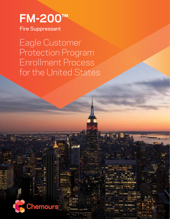# **FM-200™** Fire Suppressant

**Chemours** 

Eagle Customer Protection Program Enrollment Process for the United States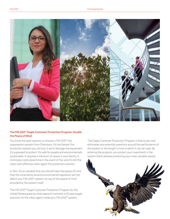

# **The FM-200™ Eagle Customer Protection Program: Double the Peace of Mind**

You know the best reasons to choose a FM-200™ fire suppression system from Chemours. It's the fastest fire protection system you can buy. It won't damage the equipment it's supposed to protect. It's safe for people and environmentally sustainable. It requires a minimum of space in your facility. It minimizes costly downtime in the event of fire, and it's still the most cost-effective clean agent fire protection solution.

In fact, it's so valuable that you should have the peace of mind that the uncertainty around environmental regulation will not affect your FM-200™ system, on top of the peace of mind provided by the system itself.

The FM-200™ Eagle Customer Protection Program for the United States gives you that peace of mind with a 20 year supply warranty for the clean agent inside your FM-200™ system.

The Eagle Customer Protection Program is free to join and eliminates any potential questions around the performance of the system or the length in time in which it can be used. By entering the program, you protect your investment in the system that's already protecting your most valuable assets.

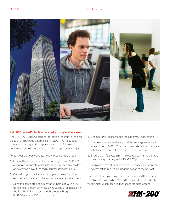

## **FM-200™ Proven Protection – Yesterday, Today, and Tomorrow**

The FM-200™ Eagle Customer Protection Program is the final piece of the package that makes FM-200™ the most costeffective clean agent fire suppressant choice for new construction, major renovations, and Halon replacement projects.

To get your 20 year warranty, follow these simple steps:

- 1. Ensure the system specified is from a genuine FM-200™ authorized manufacturer/installer. The warranty is only available on systems from authorized manufacturers/installers.
- 2. Once the system is installed, complete the registration requirements detailed in the warranty agreement document.
- 3. Send the completed documents to Chemours within 30 days of final system commissioning to apply for inclusion in the FM-200™ Eagle Customer Protection Program (FM200Warranty@Chemours.com).
- 4. Chemours will acknowledge receipt of your application.
- 5. Ensure you have a service and maintenance agreement with an authorized FM-200™ manufacturer/installer in accordance with the conditions set out in the warranty agreement.
- 6. Ensure that if a system refill is required during the period of the warranty that a genuine FM-200™ product is used.
- 7. Keep records of all service and maintenance visits, and any system refills, required during the period of the warranty.

Once completed, you can enjoy the peace of mind that your most valuable assets are fully protected for the next 20 years by the world's most widely specified waterless fire suppressant.